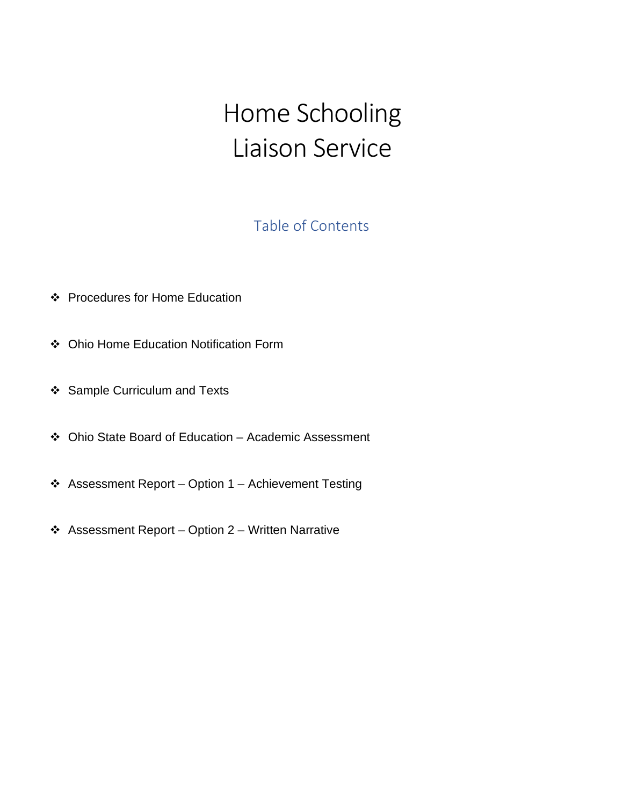# Home Schooling Liaison Service

# Table of Contents

- Procedures for Home Education
- Ohio Home Education Notification Form
- ❖ Sample Curriculum and Texts
- Ohio State Board of Education Academic Assessment
- Assessment Report Option 1 Achievement Testing
- Assessment Report Option 2 Written Narrative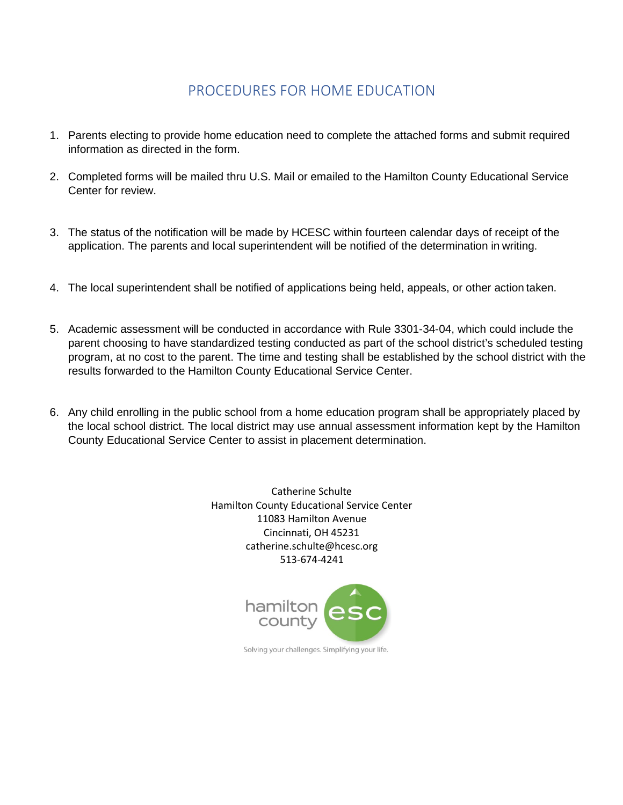# PROCEDURES FOR HOME EDUCATION

- 1. Parents electing to provide home education need to complete the attached forms and submit required information as directed in the form.
- 2. Completed forms will be mailed thru U.S. Mail or emailed to the Hamilton County Educational Service Center for review.
- 3. The status of the notification will be made by HCESC within fourteen calendar days of receipt of the application. The parents and local superintendent will be notified of the determination in writing.
- 4. The local superintendent shall be notified of applications being held, appeals, or other action taken.
- 5. Academic assessment will be conducted in accordance with Rule 3301-34-04, which could include the parent choosing to have standardized testing conducted as part of the school district's scheduled testing program, at no cost to the parent. The time and testing shall be established by the school district with the results forwarded to the Hamilton County Educational Service Center.
- 6. Any child enrolling in the public school from a home education program shall be appropriately placed by the local school district. The local district may use annual assessment information kept by the Hamilton County Educational Service Center to assist in placement determination.

Catherine Schulte Hamilton County Educational Service Center 11083 Hamilton Avenue Cincinnati, OH 45231 [catherine.schulte@hcesc.org](mailto:catherine.schulte@hcesc.org) 513-674-4241



Solving your challenges. Simplifying your life.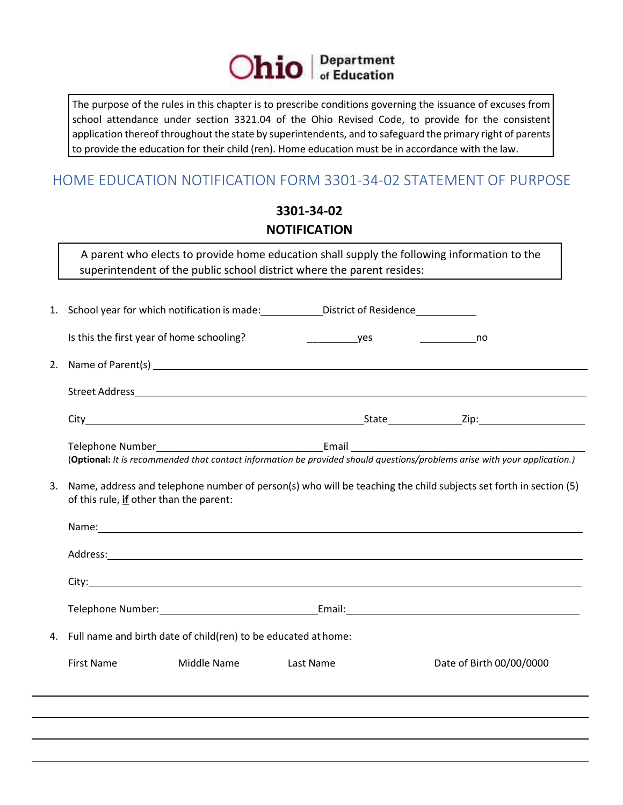

The purpose of the rules in this chapter is to prescribe conditions governing the issuance of excuses from school attendance under section 3321.04 of the Ohio Revised Code, to provide for the consistent application thereof throughout the state by superintendents, and to safeguard the primary right of parents to provide the education for their child (ren). Home education must be in accordance with the law.

# HOME EDUCATION NOTIFICATION FORM 3301-34-02 STATEMENT OF PURPOSE

# **3301-34-02 NOTIFICATION**

A parent who elects to provide home education shall supply the following information to the superintendent of the public school district where the parent resides:

|    |                                                                                                                                                             |             | 1. School year for which notification is made: ________________District of Residence_______________     |                                                                                                                           |  |
|----|-------------------------------------------------------------------------------------------------------------------------------------------------------------|-------------|---------------------------------------------------------------------------------------------------------|---------------------------------------------------------------------------------------------------------------------------|--|
|    | Is this the first year of home schooling?                                                                                                                   |             | <u>vest</u>                                                                                             | no                                                                                                                        |  |
| 2. |                                                                                                                                                             |             | Name of Parent(s) example and the contract of Parent (s) and the contract of the contract of Parent (s) |                                                                                                                           |  |
|    |                                                                                                                                                             |             |                                                                                                         |                                                                                                                           |  |
|    |                                                                                                                                                             |             |                                                                                                         |                                                                                                                           |  |
|    |                                                                                                                                                             |             |                                                                                                         | (Optional: It is recommended that contact information be provided should questions/problems arise with your application.) |  |
| 3. | Name, address and telephone number of person(s) who will be teaching the child subjects set forth in section (5)<br>of this rule, if other than the parent: |             |                                                                                                         |                                                                                                                           |  |
|    |                                                                                                                                                             |             |                                                                                                         |                                                                                                                           |  |
|    |                                                                                                                                                             |             |                                                                                                         |                                                                                                                           |  |
|    |                                                                                                                                                             |             |                                                                                                         |                                                                                                                           |  |
|    |                                                                                                                                                             |             |                                                                                                         |                                                                                                                           |  |
| 4. | Full name and birth date of child(ren) to be educated at home:                                                                                              |             |                                                                                                         |                                                                                                                           |  |
|    | <b>First Name</b>                                                                                                                                           | Middle Name | Last Name                                                                                               | Date of Birth 00/00/0000                                                                                                  |  |
|    |                                                                                                                                                             |             |                                                                                                         |                                                                                                                           |  |
|    |                                                                                                                                                             |             |                                                                                                         |                                                                                                                           |  |
|    |                                                                                                                                                             |             |                                                                                                         |                                                                                                                           |  |
|    |                                                                                                                                                             |             |                                                                                                         |                                                                                                                           |  |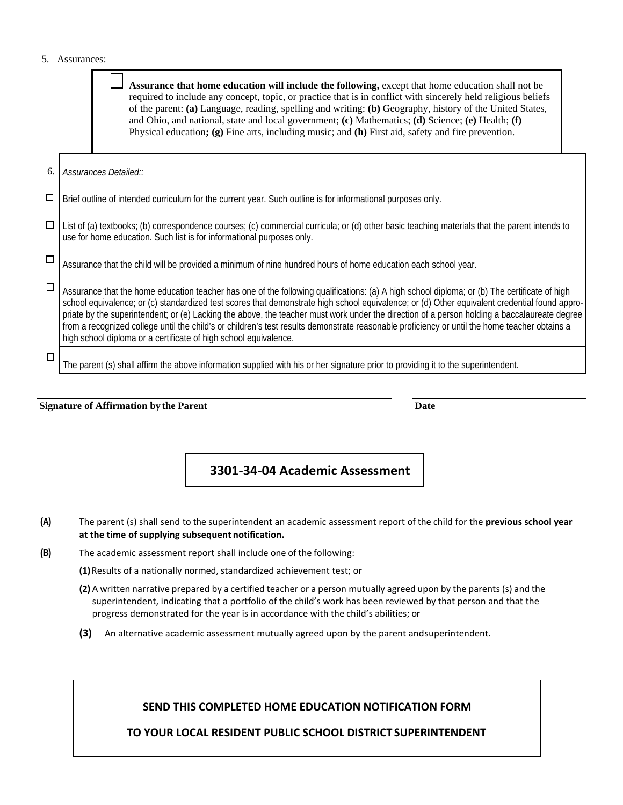#### 5. Assurances:

 $\blacksquare$  $\overline{\phantom{0}}$ 

|        | Assurance that home education will include the following, except that home education shall not be<br>required to include any concept, topic, or practice that is in conflict with sincerely held religious beliefs<br>of the parent: (a) Language, reading, spelling and writing: (b) Geography, history of the United States,<br>and Ohio, and national, state and local government; (c) Mathematics; (d) Science; (e) Health; (f)<br>Physical education; $(g)$ Fine arts, including music; and $(h)$ First aid, safety and fire prevention.                                                                                                                      |  |  |  |
|--------|--------------------------------------------------------------------------------------------------------------------------------------------------------------------------------------------------------------------------------------------------------------------------------------------------------------------------------------------------------------------------------------------------------------------------------------------------------------------------------------------------------------------------------------------------------------------------------------------------------------------------------------------------------------------|--|--|--|
| 6.     | Assurances Detailed::                                                                                                                                                                                                                                                                                                                                                                                                                                                                                                                                                                                                                                              |  |  |  |
| $\Box$ | Brief outline of intended curriculum for the current year. Such outline is for informational purposes only.                                                                                                                                                                                                                                                                                                                                                                                                                                                                                                                                                        |  |  |  |
| $\Box$ | List of (a) textbooks; (b) correspondence courses; (c) commercial curricula; or (d) other basic teaching materials that the parent intends to<br>use for home education. Such list is for informational purposes only.                                                                                                                                                                                                                                                                                                                                                                                                                                             |  |  |  |
| $\Box$ | Assurance that the child will be provided a minimum of nine hundred hours of home education each school year.                                                                                                                                                                                                                                                                                                                                                                                                                                                                                                                                                      |  |  |  |
| $\Box$ | Assurance that the home education teacher has one of the following qualifications: (a) A high school diploma; or (b) The certificate of high<br>school equivalence; or (c) standardized test scores that demonstrate high school equivalence; or (d) Other equivalent credential found appro-<br>priate by the superintendent; or (e) Lacking the above, the teacher must work under the direction of a person holding a baccalaureate degree<br>from a recognized college until the child's or children's test results demonstrate reasonable proficiency or until the home teacher obtains a<br>high school diploma or a certificate of high school equivalence. |  |  |  |
| □      | The parent (s) shall affirm the above information supplied with his or her signature prior to providing it to the superintendent.                                                                                                                                                                                                                                                                                                                                                                                                                                                                                                                                  |  |  |  |

**Signature of Affirmation by the Parent Date**

### **3301-34-04 Academic Assessment**

- **(A)** The parent (s) shall send to the superintendent an academic assessment report of the child for the **previous school year at the time of supplying subsequent notification.**
- **(B)** The academic assessment report shall include one of the following:

**(1)**Results of a nationally normed, standardized achievement test; or

- **(2)** A written narrative prepared by a certified teacher or a person mutually agreed upon by the parents (s) and the superintendent, indicating that a portfolio of the child's work has been reviewed by that person and that the progress demonstrated for the year is in accordance with the child's abilities; or
- **(3)** An alternative academic assessment mutually agreed upon by the parent andsuperintendent.

#### **SEND THIS COMPLETED HOME EDUCATION NOTIFICATION FORM**

**TO YOUR LOCAL RESIDENT PUBLIC SCHOOL DISTRICT SUPERINTENDENT**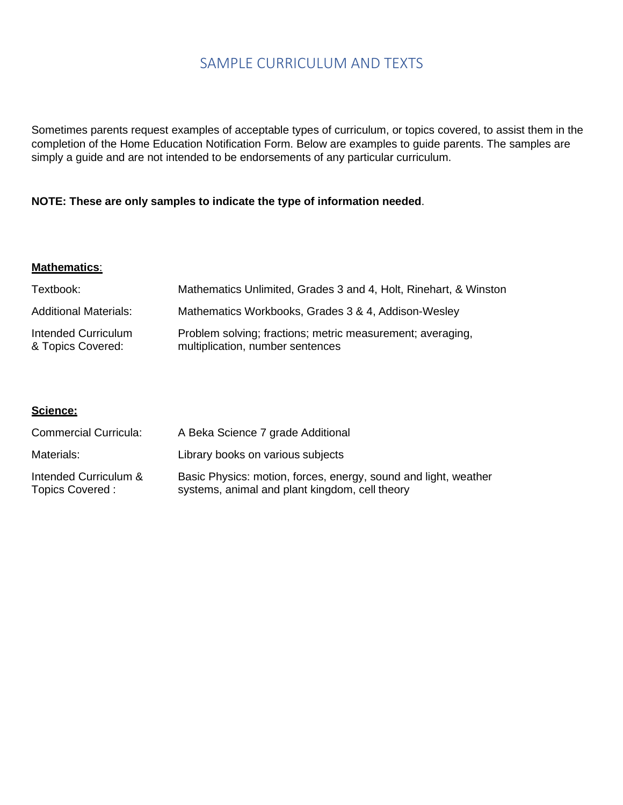# SAMPLE CURRICULUM AND TEXTS

Sometimes parents request examples of acceptable types of curriculum, or topics covered, to assist them in the completion of the Home Education Notification Form. Below are examples to guide parents. The samples are simply a guide and are not intended to be endorsements of any particular curriculum.

#### **NOTE: These are only samples to indicate the type of information needed**.

#### **Mathematics**:

| Textbook:                                | Mathematics Unlimited, Grades 3 and 4, Holt, Rinehart, & Winston                               |
|------------------------------------------|------------------------------------------------------------------------------------------------|
| <b>Additional Materials:</b>             | Mathematics Workbooks, Grades 3 & 4, Addison-Wesley                                            |
| Intended Curriculum<br>& Topics Covered: | Problem solving; fractions; metric measurement; averaging,<br>multiplication, number sentences |

#### **Science:**

| <b>Commercial Curricula:</b>             | A Beka Science 7 grade Additional                                                                                 |
|------------------------------------------|-------------------------------------------------------------------------------------------------------------------|
| Materials:                               | Library books on various subjects                                                                                 |
| Intended Curriculum &<br>Topics Covered: | Basic Physics: motion, forces, energy, sound and light, weather<br>systems, animal and plant kingdom, cell theory |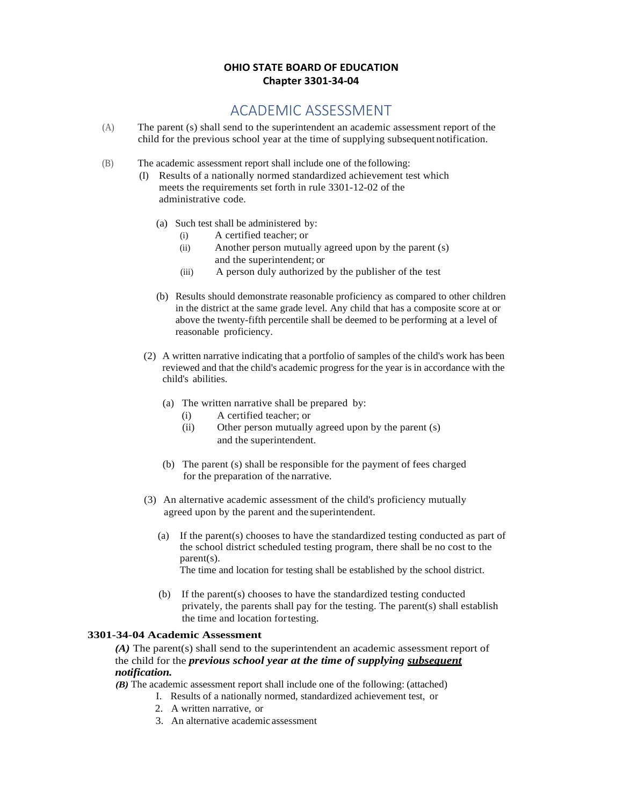#### **OHIO STATE BOARD OF EDUCATION Chapter 3301-34-04**

# ACADEMIC ASSESSMENT

- (A) The parent (s) shall send to the superintendent an academic assessment report of the child for the previous school year at the time of supplying subsequent notification.
- (B) The academic assessment report shall include one of the following:
	- (I) Results of a nationally normed standardized achievement test which meets the requirements set forth in rule 3301-12-02 of the administrative code.
		- (a) Such test shall be administered by:
			- (i) A certified teacher; or
			- (ii) Another person mutually agreed upon by the parent (s) and the superintendent; or
			- (iii) A person duly authorized by the publisher of the test
		- (b) Results should demonstrate reasonable proficiency as compared to other children in the district at the same grade level. Any child that has a composite score at or above the twenty-fifth percentile shall be deemed to be performing at a level of reasonable proficiency.
	- (2) A written narrative indicating that a portfolio of samples of the child's work has been reviewed and that the child's academic progress for the year is in accordance with the child's abilities.
		- (a) The written narrative shall be prepared by:
			- (i) A certified teacher; or
			- (ii) Other person mutually agreed upon by the parent (s) and the superintendent.
		- (b) The parent (s) shall be responsible for the payment of fees charged for the preparation of the narrative.
	- (3) An alternative academic assessment of the child's proficiency mutually agreed upon by the parent and the superintendent.
		- (a) If the parent(s) chooses to have the standardized testing conducted as part of the school district scheduled testing program, there shall be no cost to the parent(s). The time and location for testing shall be established by the school district.
		- (b) If the parent(s) chooses to have the standardized testing conducted privately, the parents shall pay for the testing. The parent(s) shall establish

## **3301-34-04 Academic Assessment**

*(A)* The parent(s) shall send to the superintendent an academic assessment report of the child for the *previous school year at the time of supplying subsequent notification.*

*(B)* The academic assessment report shall include one of the following: (attached)

- I. Results of a nationally normed, standardized achievement test, or
- 2. A written narrative, or
- 3. An alternative academic assessment

the time and location fortesting.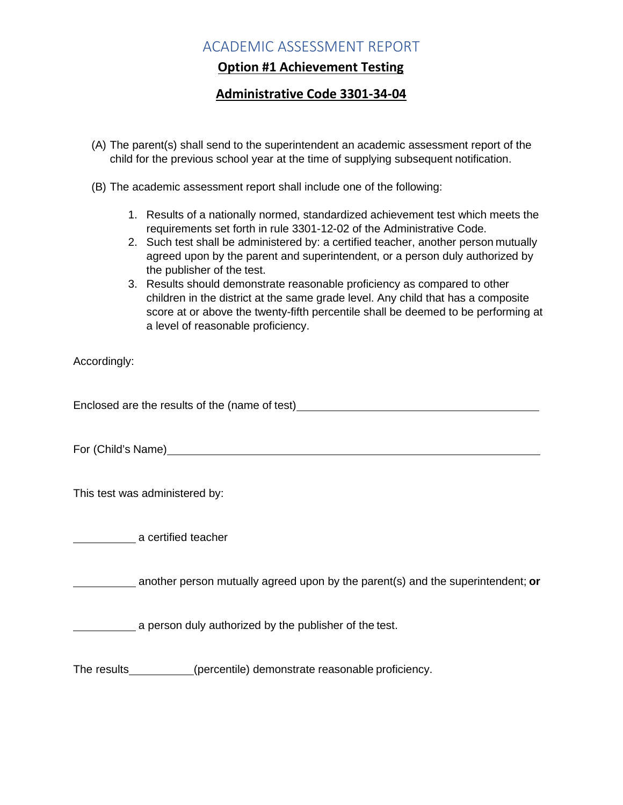# ACADEMIC ASSESSMENT REPORT

## **Option #1 Achievement Testing**

## **Administrative Code 3301-34-04**

- (A) The parent(s) shall send to the superintendent an academic assessment report of the child for the previous school year at the time of supplying subsequent notification.
- (B) The academic assessment report shall include one of the following:
	- 1. Results of a nationally normed, standardized achievement test which meets the requirements set forth in rule 3301-12-02 of the Administrative Code.
	- 2. Such test shall be administered by: a certified teacher, another person mutually agreed upon by the parent and superintendent, or a person duly authorized by the publisher of the test.
	- 3. Results should demonstrate reasonable proficiency as compared to other children in the district at the same grade level. Any child that has a composite score at or above the twenty-fifth percentile shall be deemed to be performing at a level of reasonable proficiency.

Accordingly:

Enclosed are the results of the (name of test)

For (Child's Name)

This test was administered by:

a certified teacher

another person mutually agreed upon by the parent(s) and the superintendent; **or**

a person duly authorized by the publisher of the test.

The results (percentile) demonstrate reasonable proficiency.